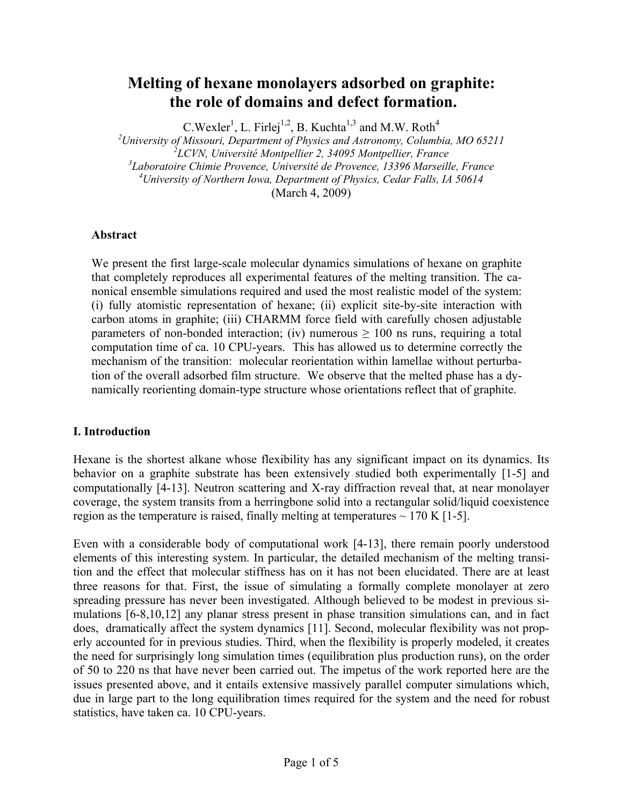# **Melting of hexane monolayers adsorbed on graphite: the role of domains and defect formation.**

C.Wexler<sup>1</sup>, L. Firlej<sup>1,2</sup>, B. Kuchta<sup>1,3</sup> and M.W. Roth<sup>4</sup> *University of Missouri, Department of Physics and Astronomy, Columbia, MO 65211 LCVN, Université Montpellier 2, 34095 Montpellier, France Laboratoire Chimie Provence, Université de Provence, 13396 Marseille, France University of Northern Iowa, Department of Physics, Cedar Falls, IA 50614*  (March 4, 2009)

#### **Abstract**

We present the first large-scale molecular dynamics simulations of hexane on graphite that completely reproduces all experimental features of the melting transition. The canonical ensemble simulations required and used the most realistic model of the system: (i) fully atomistic representation of hexane; (ii) explicit site-by-site interaction with carbon atoms in graphite; (iii) CHARMM force field with carefully chosen adjustable parameters of non-bonded interaction; (iv) numerous  $\geq 100$  ns runs, requiring a total computation time of ca. 10 CPU-years. This has allowed us to determine correctly the mechanism of the transition: molecular reorientation within lamellae without perturbation of the overall adsorbed film structure. We observe that the melted phase has a dynamically reorienting domain-type structure whose orientations reflect that of graphite.

#### **I. Introduction**

Hexane is the shortest alkane whose flexibility has any significant impact on its dynamics. Its behavior on a graphite substrate has been extensively studied both experimentally [1-5] and computationally [4-13]. Neutron scattering and X-ray diffraction reveal that, at near monolayer coverage, the system transits from a herringbone solid into a rectangular solid/liquid coexistence region as the temperature is raised, finally melting at temperatures  $\sim 170$  K [1-5].

Even with a considerable body of computational work [4-13], there remain poorly understood elements of this interesting system. In particular, the detailed mechanism of the melting transition and the effect that molecular stiffness has on it has not been elucidated. There are at least three reasons for that. First, the issue of simulating a formally complete monolayer at zero spreading pressure has never been investigated. Although believed to be modest in previous simulations [6-8,10,12] any planar stress present in phase transition simulations can, and in fact does, dramatically affect the system dynamics [11]. Second, molecular flexibility was not properly accounted for in previous studies. Third, when the flexibility is properly modeled, it creates the need for surprisingly long simulation times (equilibration plus production runs), on the order of 50 to 220 ns that have never been carried out. The impetus of the work reported here are the issues presented above, and it entails extensive massively parallel computer simulations which, due in large part to the long equilibration times required for the system and the need for robust statistics, have taken ca. 10 CPU-years.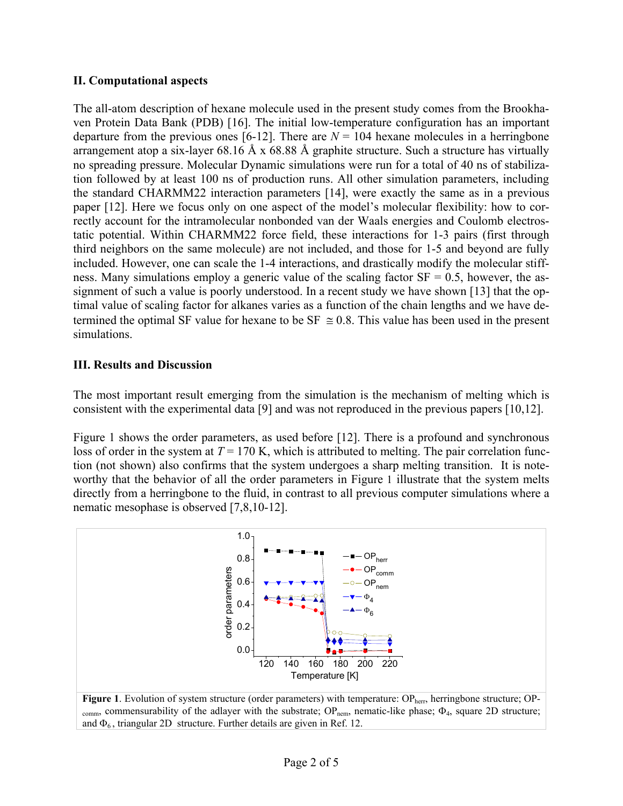#### **II. Computational aspects**

The all-atom description of hexane molecule used in the present study comes from the Brookhaven Protein Data Bank (PDB) [16]. The initial low-temperature configuration has an important departure from the previous ones [6-12]. There are  $N = 104$  hexane molecules in a herringbone arrangement atop a six-layer 68.16 Å x 68.88 Å graphite structure. Such a structure has virtually no spreading pressure. Molecular Dynamic simulations were run for a total of 40 ns of stabilization followed by at least 100 ns of production runs. All other simulation parameters, including the standard CHARMM22 interaction parameters [14], were exactly the same as in a previous paper [12]. Here we focus only on one aspect of the model's molecular flexibility: how to correctly account for the intramolecular nonbonded van der Waals energies and Coulomb electrostatic potential. Within CHARMM22 force field, these interactions for 1-3 pairs (first through third neighbors on the same molecule) are not included, and those for 1-5 and beyond are fully included. However, one can scale the 1-4 interactions, and drastically modify the molecular stiffness. Many simulations employ a generic value of the scaling factor  $SF = 0.5$ , however, the assignment of such a value is poorly understood. In a recent study we have shown [13] that the optimal value of scaling factor for alkanes varies as a function of the chain lengths and we have determined the optimal SF value for hexane to be SF  $\approx 0.8$ . This value has been used in the present simulations.

#### **III. Results and Discussion**

The most important result emerging from the simulation is the mechanism of melting which is consistent with the experimental data [9] and was not reproduced in the previous papers [10,12].

Figure 1 shows the order parameters, as used before [12]. There is a profound and synchronous loss of order in the system at  $T = 170$  K, which is attributed to melting. The pair correlation function (not shown) also confirms that the system undergoes a sharp melting transition. It is noteworthy that the behavior of all the order parameters in Figure 1 illustrate that the system melts directly from a herringbone to the fluid, in contrast to all previous computer simulations where a nematic mesophase is observed [7,8,10-12].



Figure 1. Evolution of system structure (order parameters) with temperature: OP<sub>herr</sub>, herringbone structure; OPcomm, commensurability of the adlayer with the substrate;  $OP_{\text{nem}}$ , nematic-like phase;  $\Phi_4$ , square 2D structure; and  $\Phi_6$ , triangular 2D structure. Further details are given in Ref. 12.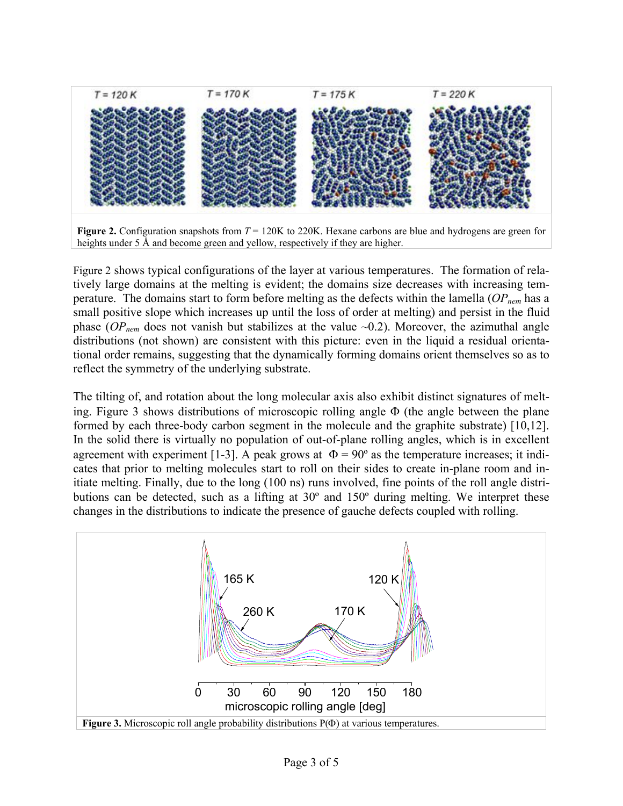

**Figure 2.** Configuration snapshots from  $T = 120K$  to 220K. Hexane carbons are blue and hydrogens are green for heights under 5 Å and become green and yellow, respectively if they are higher.

Figure 2 shows typical configurations of the layer at various temperatures. The formation of relatively large domains at the melting is evident; the domains size decreases with increasing temperature. The domains start to form before melting as the defects within the lamella  $OP_{nem}$  has a small positive slope which increases up until the loss of order at melting) and persist in the fluid phase ( $OP_{nem}$  does not vanish but stabilizes at the value  $\sim$ 0.2). Moreover, the azimuthal angle distributions (not shown) are consistent with this picture: even in the liquid a residual orientational order remains, suggesting that the dynamically forming domains orient themselves so as to reflect the symmetry of the underlying substrate.

The tilting of, and rotation about the long molecular axis also exhibit distinct signatures of melting. Figure 3 shows distributions of microscopic rolling angle  $\Phi$  (the angle between the plane formed by each three-body carbon segment in the molecule and the graphite substrate) [10,12]. In the solid there is virtually no population of out-of-plane rolling angles, which is in excellent agreement with experiment [1-3]. A peak grows at  $\Phi = 90^\circ$  as the temperature increases; it indicates that prior to melting molecules start to roll on their sides to create in-plane room and initiate melting. Finally, due to the long (100 ns) runs involved, fine points of the roll angle distributions can be detected, such as a lifting at 30º and 150º during melting. We interpret these changes in the distributions to indicate the presence of gauche defects coupled with rolling.

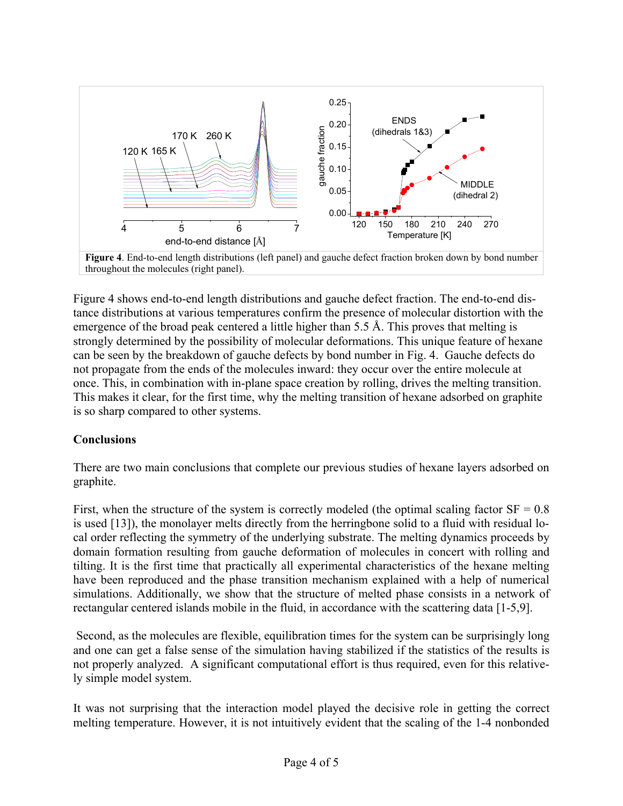

Figure 4 shows end-to-end length distributions and gauche defect fraction. The end-to-end distance distributions at various temperatures confirm the presence of molecular distortion with the emergence of the broad peak centered a little higher than  $5.5 \text{ Å}$ . This proves that melting is strongly determined by the possibility of molecular deformations. This unique feature of hexane can be seen by the breakdown of gauche defects by bond number in Fig. 4. Gauche defects do not propagate from the ends of the molecules inward: they occur over the entire molecule at once. This, in combination with in-plane space creation by rolling, drives the melting transition. This makes it clear, for the first time, why the melting transition of hexane adsorbed on graphite is so sharp compared to other systems.

#### **Conclusions**

There are two main conclusions that complete our previous studies of hexane layers adsorbed on graphite.

First, when the structure of the system is correctly modeled (the optimal scaling factor  $SF = 0.8$ ) is used [13]), the monolayer melts directly from the herringbone solid to a fluid with residual local order reflecting the symmetry of the underlying substrate. The melting dynamics proceeds by domain formation resulting from gauche deformation of molecules in concert with rolling and tilting. It is the first time that practically all experimental characteristics of the hexane melting have been reproduced and the phase transition mechanism explained with a help of numerical simulations. Additionally, we show that the structure of melted phase consists in a network of rectangular centered islands mobile in the fluid, in accordance with the scattering data [1-5,9].

 Second, as the molecules are flexible, equilibration times for the system can be surprisingly long and one can get a false sense of the simulation having stabilized if the statistics of the results is not properly analyzed. A significant computational effort is thus required, even for this relatively simple model system.

It was not surprising that the interaction model played the decisive role in getting the correct melting temperature. However, it is not intuitively evident that the scaling of the 1-4 nonbonded